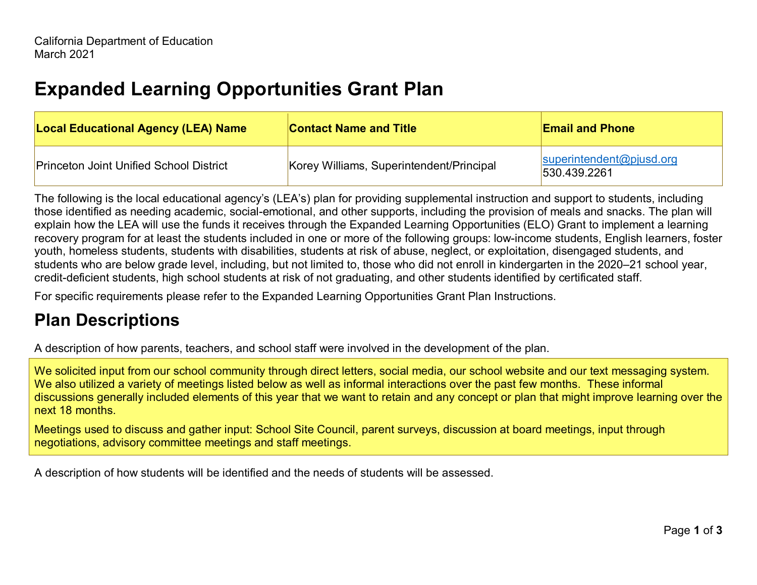## **Expanded Learning Opportunities Grant Plan**

| <b>Local Educational Agency (LEA) Name</b>     | <b>Contact Name and Title</b>            | <b>Email and Phone</b>                   |
|------------------------------------------------|------------------------------------------|------------------------------------------|
| <b>Princeton Joint Unified School District</b> | Korey Williams, Superintendent/Principal | superintendent@pjusd.org<br>530.439.2261 |

The following is the local educational agency's (LEA's) plan for providing supplemental instruction and support to students, including those identified as needing academic, social-emotional, and other supports, including the provision of meals and snacks. The plan will explain how the LEA will use the funds it receives through the Expanded Learning Opportunities (ELO) Grant to implement a learning recovery program for at least the students included in one or more of the following groups: low-income students, English learners, foster youth, homeless students, students with disabilities, students at risk of abuse, neglect, or exploitation, disengaged students, and students who are below grade level, including, but not limited to, those who did not enroll in kindergarten in the 2020–21 school year, credit-deficient students, high school students at risk of not graduating, and other students identified by certificated staff.

For specific requirements please refer to the Expanded Learning Opportunities Grant Plan Instructions.

## **Plan Descriptions**

A description of how parents, teachers, and school staff were involved in the development of the plan.

We solicited input from our school community through direct letters, social media, our school website and our text messaging system. We also utilized a variety of meetings listed below as well as informal interactions over the past few months. These informal discussions generally included elements of this year that we want to retain and any concept or plan that might improve learning over the next 18 months.

Meetings used to discuss and gather input: School Site Council, parent surveys, discussion at board meetings, input through negotiations, advisory committee meetings and staff meetings.

A description of how students will be identified and the needs of students will be assessed.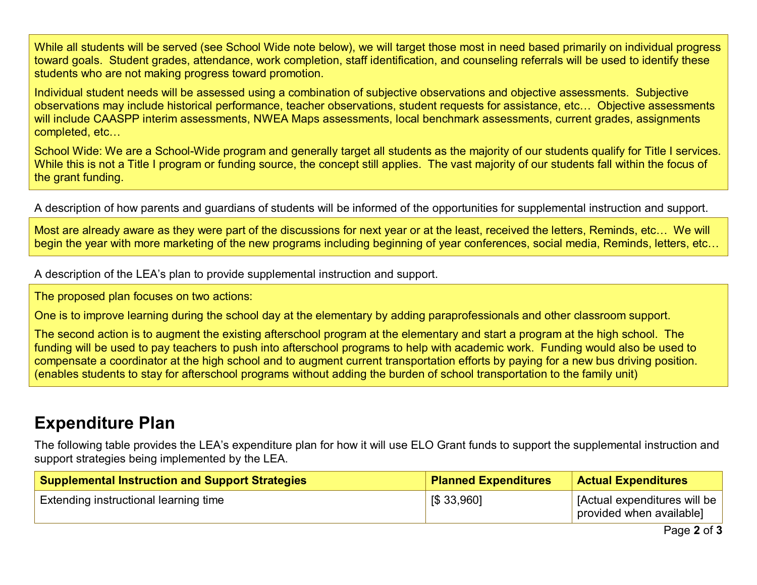While all students will be served (see School Wide note below), we will target those most in need based primarily on individual progress toward goals. Student grades, attendance, work completion, staff identification, and counseling referrals will be used to identify these students who are not making progress toward promotion.

Individual student needs will be assessed using a combination of subjective observations and objective assessments. Subjective observations may include historical performance, teacher observations, student requests for assistance, etc… Objective assessments will include CAASPP interim assessments, NWEA Maps assessments, local benchmark assessments, current grades, assignments completed, etc…

School Wide: We are a School-Wide program and generally target all students as the majority of our students qualify for Title I services. While this is not a Title I program or funding source, the concept still applies. The vast majority of our students fall within the focus of the grant funding.

A description of how parents and guardians of students will be informed of the opportunities for supplemental instruction and support.

Most are already aware as they were part of the discussions for next year or at the least, received the letters, Reminds, etc... We will begin the year with more marketing of the new programs including beginning of year conferences, social media, Reminds, letters, etc…

A description of the LEA's plan to provide supplemental instruction and support.

The proposed plan focuses on two actions:

One is to improve learning during the school day at the elementary by adding paraprofessionals and other classroom support.

The second action is to augment the existing afterschool program at the elementary and start a program at the high school. The funding will be used to pay teachers to push into afterschool programs to help with academic work. Funding would also be used to compensate a coordinator at the high school and to augment current transportation efforts by paying for a new bus driving position. (enables students to stay for afterschool programs without adding the burden of school transportation to the family unit)

## **Expenditure Plan**

The following table provides the LEA's expenditure plan for how it will use ELO Grant funds to support the supplemental instruction and support strategies being implemented by the LEA.

| <b>Supplemental Instruction and Support Strategies</b> | <b>Planned Expenditures</b> | <b>Actual Expenditures</b>                               |
|--------------------------------------------------------|-----------------------------|----------------------------------------------------------|
| Extending instructional learning time                  | [\$33,960]                  | [Actual expenditures will be<br>provided when available] |

Page **2** of **3**